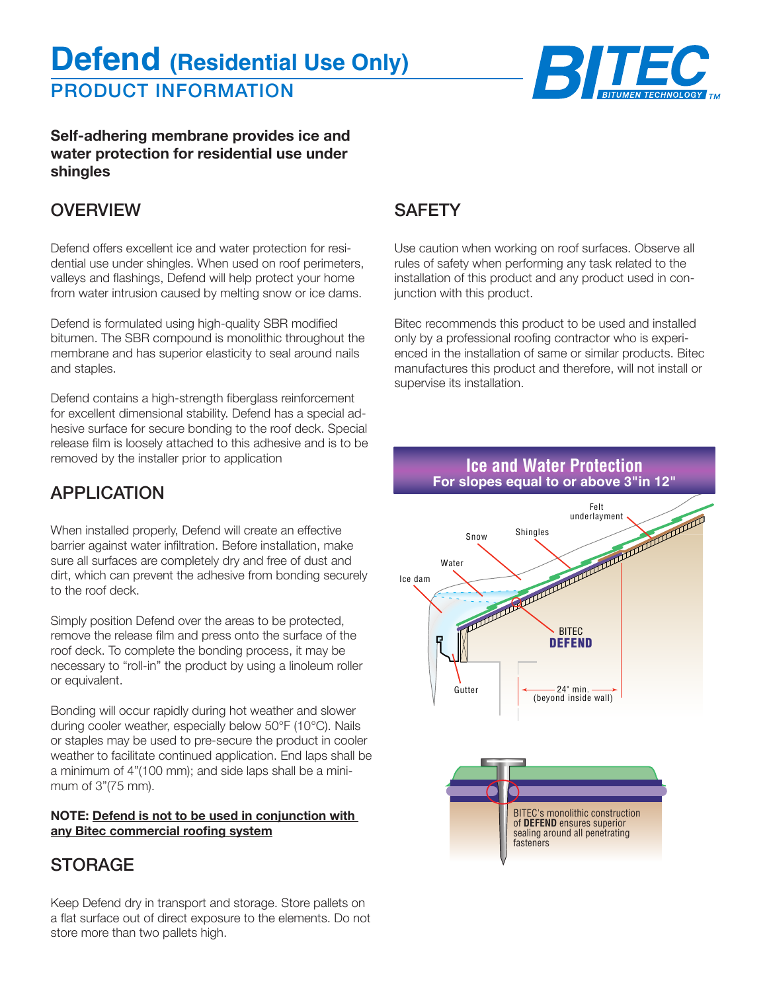# PRODUCT INFORMATION **Defend (Residential Use Only)**



**Self-adhering membrane provides ice and water protection for residential use under shingles**

### **OVERVIEW**

Defend offers excellent ice and water protection for residential use under shingles. When used on roof perimeters, valleys and flashings, Defend will help protect your home from water intrusion caused by melting snow or ice dams.

Defend is formulated using high-quality SBR modified bitumen. The SBR compound is monolithic throughout the membrane and has superior elasticity to seal around nails and staples.

Defend contains a high-strength fiberglass reinforcement for excellent dimensional stability. Defend has a special adhesive surface for secure bonding to the roof deck. Special release film is loosely attached to this adhesive and is to be removed by the installer prior to application

## APPLICATION

When installed properly, Defend will create an effective barrier against water infiltration. Before installation, make sure all surfaces are completely dry and free of dust and dirt, which can prevent the adhesive from bonding securely to the roof deck.

Simply position Defend over the areas to be protected, remove the release film and press onto the surface of the roof deck. To complete the bonding process, it may be necessary to "roll-in" the product by using a linoleum roller or equivalent.

Bonding will occur rapidly during hot weather and slower during cooler weather, especially below 50°F (10°C). Nails or staples may be used to pre‑secure the product in cooler weather to facilitate continued application. End laps shall be a minimum of 4"(100 mm); and side laps shall be a minimum of 3"(75 mm).

#### **NOTE: Defend is not to be used in conjunction with any Bitec commercial roofing system**

# STORAGE

Keep Defend dry in transport and storage. Store pallets on a flat surface out of direct exposure to the elements. Do not store more than two pallets high.

## **SAFETY**

Use caution when working on roof surfaces. Observe all rules of safety when performing any task related to the installation of this product and any product used in conjunction with this product.

Bitec recommends this product to be used and installed only by a professional roofing contractor who is experienced in the installation of same or similar products. Bitec manufactures this product and therefore, will not install or supervise its installation.